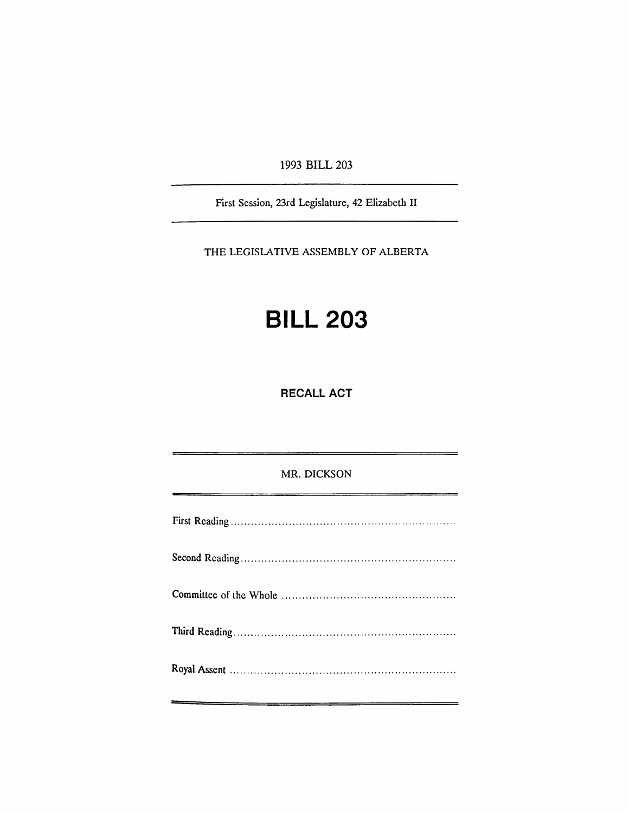1993 BILL 203

First Session, 23rd Legislature, 42 Elizabeth II

THE LEGISLATIVE ASSEMBLY OF ALBERTA

## **BILL 203**

RECALL ACT

## MR. DICKSON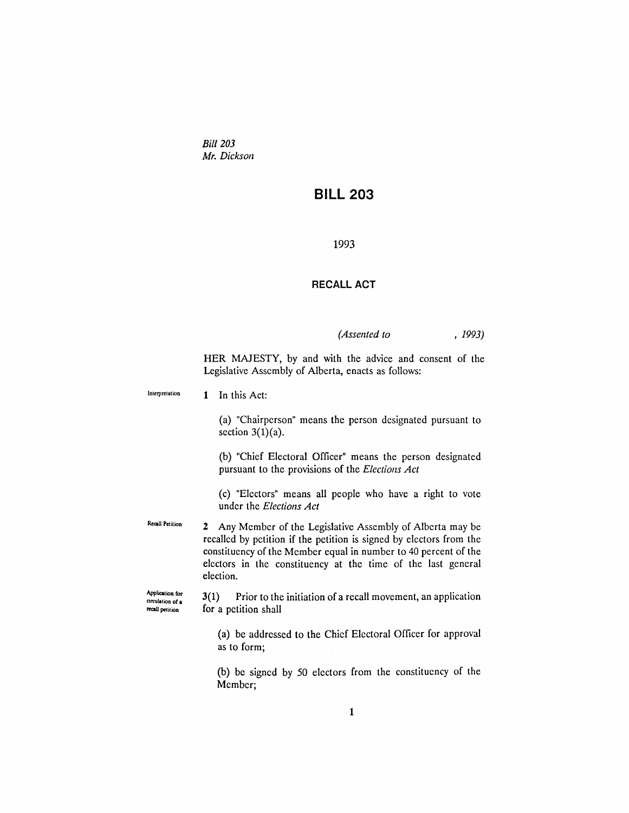*Bill 203 Mr. Dickson*

## **BILL 203**

1993

## **RECALL ACT**

*(Assented to* , 1993)

HER MAJESTY, by and with the advice and consent of the Legislative Assembly of Alberta, enacts as follows:

| Interpretation                                         | 1 In this Act:                                                                                                                                                                                                                                                                                  |
|--------------------------------------------------------|-------------------------------------------------------------------------------------------------------------------------------------------------------------------------------------------------------------------------------------------------------------------------------------------------|
|                                                        | (a) "Chairperson" means the person designated pursuant to<br>section $3(1)(a)$ .                                                                                                                                                                                                                |
|                                                        | (b) "Chief Electoral Officer" means the person designated<br>pursuant to the provisions of the Elections Act                                                                                                                                                                                    |
|                                                        | (c) "Electors" means all people who have a right to vote<br>under the <i>Elections Act</i>                                                                                                                                                                                                      |
| <b>Recall Petition</b>                                 | Any Member of the Legislative Assembly of Alberta may be<br>$\mathbf{2}$<br>recalled by petition if the petition is signed by electors from the<br>constituency of the Member equal in number to 40 percent of the<br>electors in the constituency at the time of the last general<br>election. |
| Application for<br>circulation of a<br>recall petition | Prior to the initiation of a recall movement, an application<br>3(1)<br>for a petition shall                                                                                                                                                                                                    |
|                                                        | (a) be addressed to the Chief Electoral Officer for approval<br>as to form;                                                                                                                                                                                                                     |
|                                                        | (b) be signed by 50 electors from the constituency of the<br>Member;                                                                                                                                                                                                                            |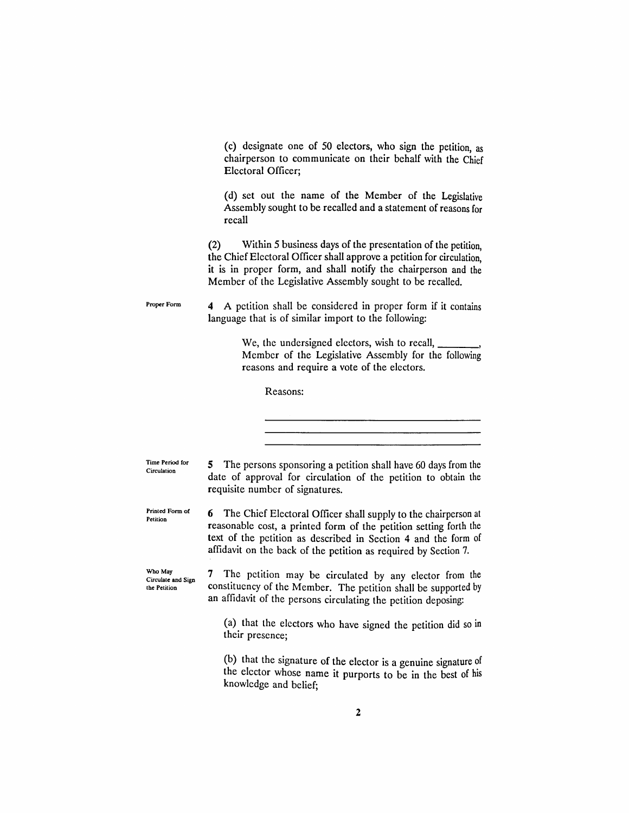(C) designate one of 50 electors, who sign the petition, as chairperson to communicate on their behalf with the Chief Electoral Officer;

(d) set out the name of the Member of the Legislative Assembly sought to be recalled and a statement of reasons for recall

(2) Within 5 business days of the presentation of the petition, the Chief Electoral Officer shall approve a petition for circulation, it is in proper form, and shall notify the chairperson and the Member of the Legislative Assembly sought to be recalled.

Proper Form 4 A petition shall be considered in proper form if it contains language that is of similar import to the following:

> We, the undersigned electors, wish to recall, Member of the Legislative Assembly for the following reasons and require a vote of the electors.

Reasons:

Time Period for Circulation

5 The persons sponsoring a petition shall have 60 days from the date of approval for circulation of the petition to obtain the requisite number of signatures.

Printed Form of Petition 6 The Chief Electoral Officer shall supply to the chairperson at reasonable cost, a printed form of the petition setting forth the text of the petition as described in Section 4 and the form of affidavit on the back of the petition as required by Section 7.

Who May Circulate and Sign the Petition 7 The petition may be circulated by any elector from the constituency of the Member. The petition shall be supported by an affidavit of the persons circulating the petition deposing:

> (a) that the electors who have signed the petition did so in their presence;

> (b) that the signature of the elector is a genuine signature of the elector whose name it purports to be in the best of his knowledge and belief;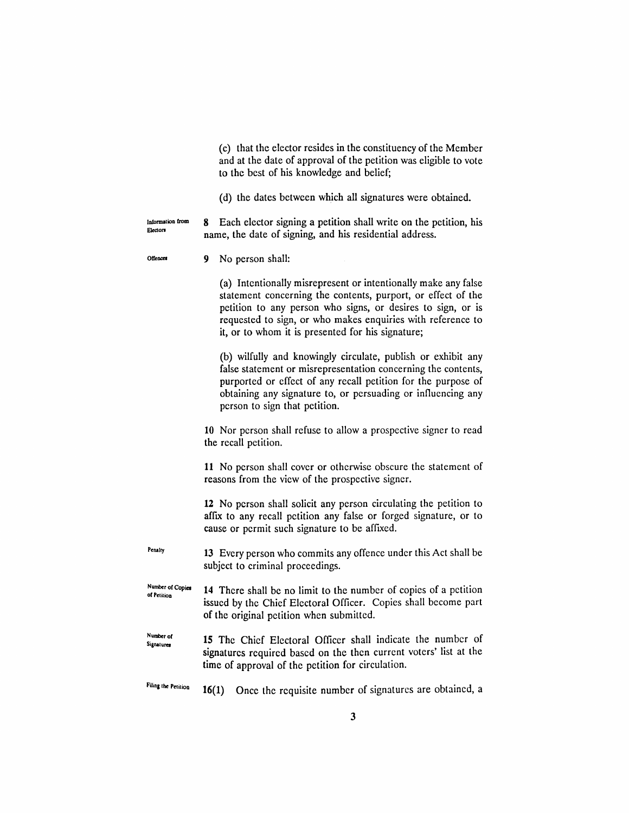(c) that the elector resides in the constituency of the Member and at the date of approval of the petition was eligible to vote to the best of his knowledge and belief;

(d) the dates between which all signatures were obtained.

Information from **Electors** 8 Each elector signing a petition shall write on the petition, his name, the date of signing, and his residential address.

Offences 9 No person shall:

> (a) Intentionally misrepresent or intentionally make any false statement concerning the contents, purport, or effect of the petition to any person who signs, or desires to sign, or is requested to sign, or who makes enquiries with reference to it, or to whom it is presented for his signature;

> (b) wilfully and knowingly circulate, publish or exhibit any false statement or misrepresentation concerning the contents, purported or effect of any recall petition for the purpose of obtaining any signature to, or persuading or infiuencing any person to sign that petition.

10 Nor person shall refuse to allow a prospective signer to read the recall petition.

11 No person shall cover or otherwise obscure the statement of reasons from the view of the prospective signer.

12 No person shall solicit any person circulating the petition to affix to any recall petition any false or forged signature, or to cause or permit such signature to be affixed.

Penalty 13 Every person who commits any offence under this Act shall be subject to criminal proceedings.

- Number of Copies or Petition 14 There shall be no limit to the number of copies of a petition issued by the Chief Electoral Officer. Copies shall become part of the original petition when submitted.
- NUmber of **Signatures** 15 The Chief Electoral Officer shall indicate the number of signatures required based on the then current voters' list at the time of approval of the petition for circulation.

Filing the Petition 16(1) Once the requisite number of signatures are obtained, a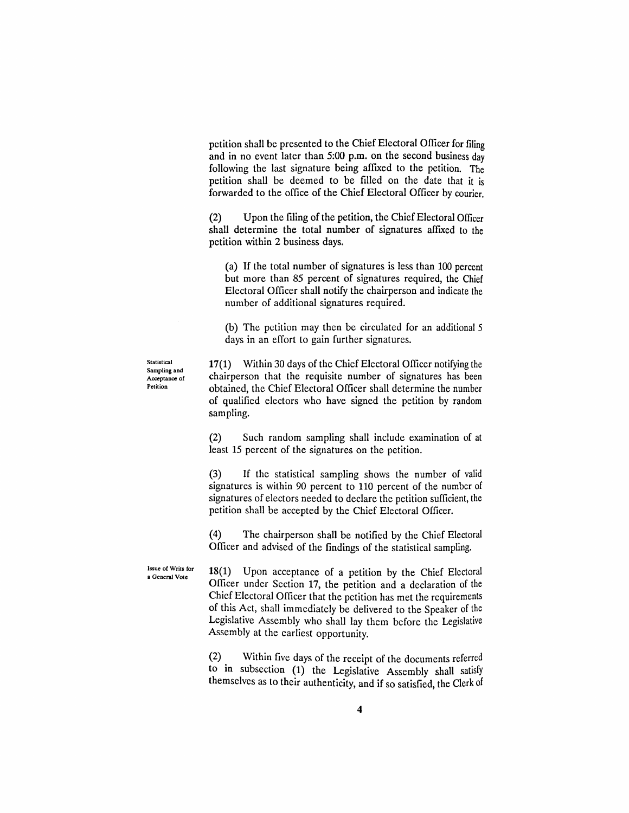petition shall be presented to the Chief Electoral Officer for filing and in no event later than 5:00 p.m. on the second business day following the last signature being affixed to the petition. The petition shall be deemed to be fIlled on the date that it is forwarded to the office of the Chief Electoral Officer by courier.

(2) Upon the fIling of the petition, the Chief Electoral Officer shall determine the total number of signatures affixed to the petition within 2 business days.

(a) If the total number of signatures is less than 100 percent but more than 85 percent of signatures required, the Chief Electoral OffIcer shall notify the chairperson and indicate the number of additional signatures required.

(b) The petition may then be circulated for an additional 5 days in an effort to gain further signatures.

Statistical Sampling and Acceptance of Petition

17(1) Within 30 days of the Chief Electoral OffIcer notifying the chairperson that the requisite number of signatures has been obtained, the Chief Electoral OffIcer shall determine the number of qualified electors who have signed the petition by random sampling.

(2) Such random sampling shall include examination of at least 15 percent of the signatures on the petition.

(3) If the statistical sampling shows the number of valid signatures is within 90 percent to 110 percent of the number of signatures of electors needed to declare the petition sufficient, the petition shall be accepted by the Chief Electoral Officer.

(4) The chairperson shall be notified by the Chief Electoral Officer and advised of the findings of the statistical sampling.

18(1) Upon acceptance of a petition by the Chief Electoral Officer under Section 17, the petition and a declaration of the Chief Electoral Officer that the petition has met the requirements of this Act, shall immediately be delivered to the Speaker of the Legislative Assembly who shall lay them before the Legislative Assembly at the earliest opportunity.

(2) Within five days of the receipt of the documents referred to in subsection (1) the Legislative Assembly shall satisfy themselves as to their authenticity, and if so satisfied, the Clerk of

Issue o( Writs (or a General Vote